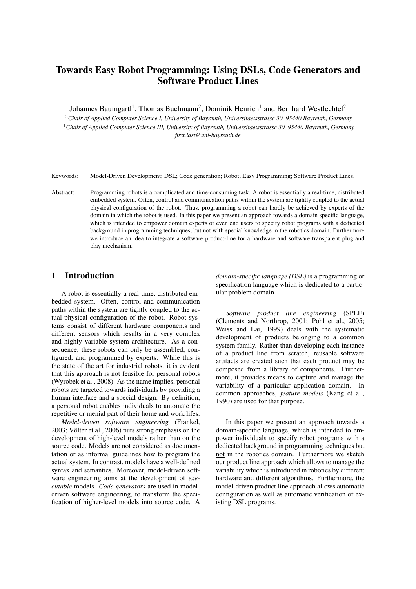# Towards Easy Robot Programming: Using DSLs, Code Generators and Software Product Lines

Johannes Baumgartl<sup>1</sup>, Thomas Buchmann<sup>2</sup>, Dominik Henrich<sup>1</sup> and Bernhard Westfechtel<sup>2</sup>

<sup>2</sup>*Chair of Applied Computer Science I, University of Bayreuth, Universitaetsstrasse 30, 95440 Bayreuth, Germany* <sup>1</sup>*Chair of Applied Computer Science III, University of Bayreuth, Universitaetsstrasse 30, 95440 Bayreuth, Germany first.last@uni-bayreuth.de*

Keywords: Model-Driven Development; DSL; Code generation; Robot; Easy Programming; Software Product Lines.

Abstract: Programming robots is a complicated and time-consuming task. A robot is essentially a real-time, distributed embedded system. Often, control and communication paths within the system are tightly coupled to the actual physical configuration of the robot. Thus, programming a robot can hardly be achieved by experts of the domain in which the robot is used. In this paper we present an approach towards a domain specific language, which is intended to empower domain experts or even end users to specify robot programs with a dedicated background in programming techniques, but not with special knowledge in the robotics domain. Furthermore we introduce an idea to integrate a software product-line for a hardware and software transparent plug and play mechanism.

## 1 Introduction

A robot is essentially a real-time, distributed embedded system. Often, control and communication paths within the system are tightly coupled to the actual physical configuration of the robot. Robot systems consist of different hardware components and different sensors which results in a very complex and highly variable system architecture. As a consequence, these robots can only be assembled, configured, and programmed by experts. While this is the state of the art for industrial robots, it is evident that this approach is not feasible for personal robots (Wyrobek et al., 2008). As the name implies, personal robots are targeted towards individuals by providing a human interface and a special design. By definition, a personal robot enables individuals to automate the repetitive or menial part of their home and work lifes.

*Model-driven software engineering* (Frankel, 2003; Völter et al., 2006) puts strong emphasis on the development of high-level models rather than on the source code. Models are not considered as documentation or as informal guidelines how to program the actual system. In contrast, models have a well-defined syntax and semantics. Moreover, model-driven software engineering aims at the development of *executable* models. *Code generators* are used in modeldriven software engineering, to transform the specification of higher-level models into source code. A

*domain-specific language (DSL)* is a programming or specification language which is dedicated to a particular problem domain.

*Software product line engineering* (SPLE) (Clements and Northrop, 2001; Pohl et al., 2005; Weiss and Lai, 1999) deals with the systematic development of products belonging to a common system family. Rather than developing each instance of a product line from scratch, reusable software artifacts are created such that each product may be composed from a library of components. Furthermore, it provides means to capture and manage the variability of a particular application domain. In common approaches, *feature models* (Kang et al., 1990) are used for that purpose.

In this paper we present an approach towards a domain-specific language, which is intended to empower individuals to specify robot programs with a dedicated background in programming techniques but not in the robotics domain. Furthermore we sketch our product line approach which allows to manage the variability which is introduced in robotics by different hardware and different algorithms. Furthermore, the model-driven product line approach allows automatic configuration as well as automatic verification of existing DSL programs.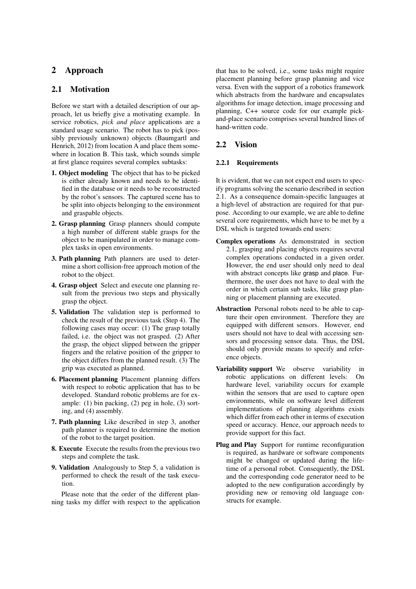## 2 Approach

## 2.1 Motivation

Before we start with a detailed description of our approach, let us briefly give a motivating example. In service robotics, *pick and place* applications are a standard usage scenario. The robot has to pick (possibly previously unknown) objects (Baumgartl and Henrich, 2012) from location A and place them somewhere in location B. This task, which sounds simple at first glance requires several complex subtasks:

- 1. Object modeling The object that has to be picked is either already known and needs to be identified in the database or it needs to be reconstructed by the robot's sensors. The captured scene has to be split into objects belonging to the environment and graspable objects.
- 2. Grasp planning Grasp planners should compute a high number of different stable grasps for the object to be manipulated in order to manage complex tasks in open environments.
- 3. Path planning Path planners are used to determine a short collision-free approach motion of the robot to the object.
- 4. Grasp object Select and execute one planning result from the previous two steps and physically grasp the object.
- 5. Validation The validation step is performed to check the result of the previous task (Step 4). The following cases may occur: (1) The grasp totally failed, i.e. the object was not grasped. (2) After the grasp, the object slipped between the gripper fingers and the relative position of the gripper to the object differs from the planned result. (3) The grip was executed as planned.
- 6. Placement planning Placement planning differs with respect to robotic application that has to be developed. Standard robotic problems are for example: (1) bin packing, (2) peg in hole, (3) sorting, and (4) assembly.
- 7. Path planning Like described in step 3, another path planner is required to determine the motion of the robot to the target position.
- 8. Execute Execute the results from the previous two steps and complete the task.
- 9. Validation Analogously to Step 5, a validation is performed to check the result of the task execution.

Please note that the order of the different planning tasks my differ with respect to the application

that has to be solved, i.e., some tasks might require placement planning before grasp planning and vice versa. Even with the support of a robotics framework which abstracts from the hardware and encapsulates algorithms for image detection, image processing and planning, C++ source code for our example pickand-place scenario comprises several hundred lines of hand-written code.

#### 2.2 Vision

#### 2.2.1 Requirements

It is evident, that we can not expect end users to specify programs solving the scenario described in section 2.1. As a consequence domain-specific languages at a high-level of abstraction are required for that purpose. According to our example, we are able to define several core requirements, which have to be met by a DSL which is targeted towards end users:

- Complex operations As demonstrated in section 2.1, grasping and placing objects requires several complex operations conducted in a given order. However, the end user should only need to deal with abstract concepts like grasp and place. Furthermore, the user does not have to deal with the order in which certain sub tasks, like grasp planning or placement planning are executed.
- Abstraction Personal robots need to be able to capture their open environment. Therefore they are equipped with different sensors. However, end users should not have to deal with accessing sensors and processing sensor data. Thus, the DSL should only provide means to specify and reference objects.
- Variability support We observe variability in robotic applications on different levels: On hardware level, variability occurs for example within the sensors that are used to capture open environments, while on software level different implementations of planning algorithms exists which differ from each other in terms of execution speed or accuracy. Hence, our approach needs to provide support for this fact.
- Plug and Play Support for runtime reconfiguration is required, as hardware or software components might be changed or updated during the lifetime of a personal robot. Consequently, the DSL and the corresponding code generator need to be adopted to the new configuration accordingly by providing new or removing old language constructs for example.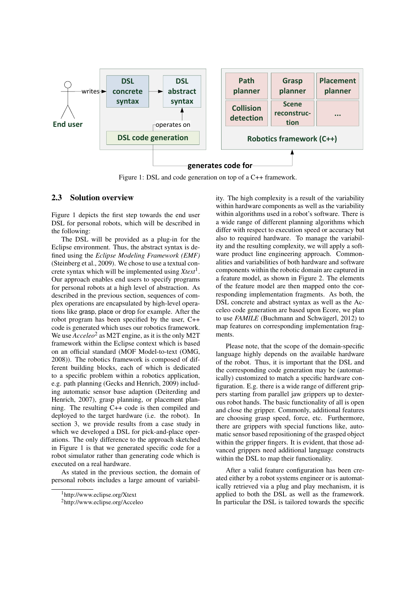

Figure 1: DSL and code generation on top of a C++ framework.

#### 2.3 Solution overview

Figure 1 depicts the first step towards the end user DSL for personal robots, which will be described in the following:

The DSL will be provided as a plug-in for the Eclipse environment. Thus, the abstract syntax is defined using the *Eclipse Modeling Framework (EMF)* (Steinberg et al., 2009). We chose to use a textual concrete syntax which will be implemented using *Xtext*1. Our approach enables end users to specify programs for personal robots at a high level of abstraction. As described in the previous section, sequences of complex operations are encapsulated by high-level operations like grasp, place or drop for example. After the robot program has been specified by the user, C++ code is generated which uses our robotics framework. We use  $Acceleo<sup>2</sup>$  as M2T engine, as it is the only M2T framework within the Eclipse context which is based on an official standard (MOF Model-to-text (OMG, 2008)). The robotics framework is composed of different building blocks, each of which is dedicated to a specific problem within a robotics application, e.g. path planning (Gecks and Henrich, 2009) including automatic sensor base adaption (Deiterding and Henrich, 2007), grasp planning, or placement planning. The resulting C++ code is then compiled and deployed to the target hardware (i.e. the robot). In section 3, we provide results from a case study in which we developed a DSL for pick-and-place operations. The only difference to the approach sketched in Figure 1 is that we generated specific code for a robot simulator rather than generating code which is executed on a real hardware.

As stated in the previous section, the domain of personal robots includes a large amount of variability. The high complexity is a result of the variability within hardware components as well as the variability within algorithms used in a robot's software. There is a wide range of different planning algorithms which differ with respect to execution speed or accuracy but also to required hardware. To manage the variability and the resulting complexity, we will apply a software product line engineering approach. Commonalities and variabilities of both hardware and software components within the robotic domain are captured in a feature model, as shown in Figure 2. The elements of the feature model are then mapped onto the corresponding implementation fragments. As both, the DSL concrete and abstract syntax as well as the Acceleo code generation are based upon Ecore, we plan to use *FAMILE* (Buchmann and Schwägerl, 2012) to map features on corresponding implementation fragments.

Please note, that the scope of the domain-specific language highly depends on the available hardware of the robot. Thus, it is important that the DSL and the corresponding code generation may be (automatically) customized to match a specific hardware configuration. E.g. there is a wide range of different grippers starting from parallel jaw grippers up to dexterous robot hands. The basic functionality of all is open and close the gripper. Commonly, additional features are choosing grasp speed, force, etc. Furthermore, there are grippers with special functions like, automatic sensor based repositioning of the grasped object within the gripper fingers. It is evident, that those advanced grippers need additional language constructs within the DSL to map their functionality.

After a valid feature configuration has been created either by a robot systems engineer or is automatically retrieved via a plug and play mechanism, it is applied to both the DSL as well as the framework. In particular the DSL is tailored towards the specific

<sup>1</sup>http://www.eclipse.org/Xtext

<sup>2</sup>http://www.eclipse.org/Acceleo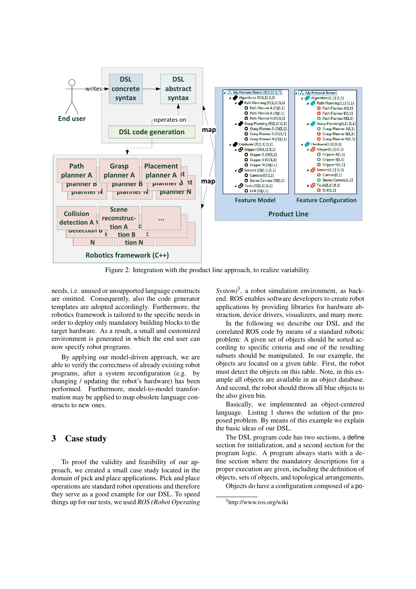

Figure 2: Integration with the product line approach, to realize variability.

needs, i.e. unused or unsupported language constructs are omitted. Consequently, also the code generator templates are adopted accordingly. Furthermore, the robotics framework is tailored to the specific needs in order to deploy only mandatory building blocks to the target hardware. As a result, a small and customized environment is generated in which the end user can now specify robot programs.

By applying our model-driven approach, we are able to verify the correctness of already existing robot programs, after a system reconfiguration (e.g. by changing / updating the robot's hardware) has been performed. Furthermore, model-to-model transformation may be applied to map obsolete language constructs to new ones.

## 3 Case study

To proof the validity and feasibility of our approach, we created a small case study located in the domain of pick and place applications. Pick and place operations are standard robot operations and therefore they serve as a good example for our DSL. To speed things up for our tests, we used *ROS (Robot Operating* *System*<sup>3</sup>, a robot simulation environment, as backend. ROS enables software developers to create robot applications by providing libraries for hardware abstraction, device drivers, visualizers, and many more.

In the following we describe our DSL and the correlated ROS code by means of a standard robotic problem: A given set of objects should be sorted according to specific criteria and one of the resulting subsets should be manipulated. In our example, the objects are located on a given table. First, the robot must detect the objects on this table. Note, in this example all objects are available in an object database. And second, the robot should throw all blue objects to the also given bin.

Basically, we implemented an object-centered language. Listing 1 shows the solution of the proposed problem. By means of this example we explain the basic ideas of our DSL.

The DSL program code has two sections, a define section for initialization, and a second section for the program logic. A program always starts with a define section where the mandatory descriptions for a proper execution are given, including the definition of objects, sets of objects, and topological arrangements.

Objects do have a configuration composed of a po-

<sup>3</sup>http://www.ros.org/wiki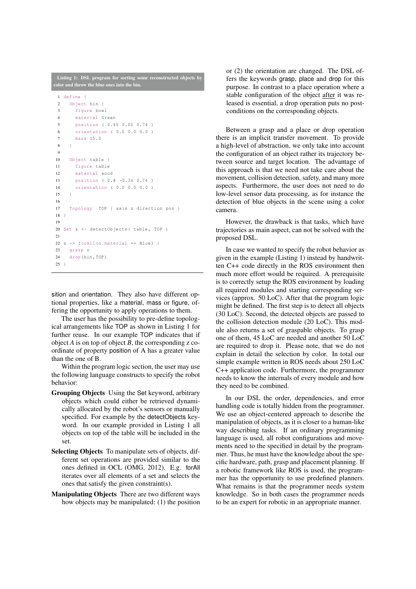|                | <b>Listing 1: DSL</b> program for sorting some reconstructed objects by               |
|----------------|---------------------------------------------------------------------------------------|
|                | color and throw the blue ones into the bin.                                           |
| $\mathbf{1}$   | define {                                                                              |
| $\overline{c}$ | Object bin {                                                                          |
| 3              | fiqure bowl                                                                           |
| $\overline{4}$ | material Green                                                                        |
| 5              | position ( 0.65 0.00 0.74 )                                                           |
| 6              | orientation ( 0.0 0.0 0.0 )                                                           |
| $\tau$         | mass 15.0                                                                             |
| 8              | $\left\{ \begin{array}{c} \lambda & \lambda \\ \lambda & \lambda \end{array} \right.$ |
| 9              |                                                                                       |
| 10             | Object table {                                                                        |
| 11             | fiqure table                                                                          |
| 12             | material wood                                                                         |
| 13             | position ( 0.8 -0.34 0.74 )                                                           |
| 14             | orientation ( 0.0 0.0 0.0 )                                                           |
| 15             | $\mathcal{F}$                                                                         |
| 16             |                                                                                       |
| 17             | Topology TOP { axis z direction pos }                                                 |
| 18             | $\left\{ \right.$                                                                     |
| 19             |                                                                                       |
| 20             | Set s <- detectObjects ( table, TOP )                                                 |
| 21             |                                                                                       |
| 22             | $s \rightarrow$ for All (o. material == Blue) {                                       |
| 23             | qrasp o                                                                               |
| 24             | drop (bin, TOP)                                                                       |
| $25$ }         |                                                                                       |

sition and orientation. They also have different optional properties, like a material, mass or figure, offering the opportunity to apply operations to them.

The user has the possibility to pre-define topological arrangements like TOP as shown in Listing 1 for further reuse. In our example TOP indicates that if object *A* is on top of object *B*, the corresponding z coordinate of property position of A has a greater value than the one of B.

Within the program logic section, the user may use the following language constructs to specify the robot behavior:

- Grouping Objects Using the Set keyword, arbitrary objects which could either be retrieved dynamically allocated by the robot's sensors or manually specified. For example by the detectObjects keyword. In our example provided in Listing 1 all objects on top of the table will be included in the set.
- Selecting Objects To manipulate sets of objects, different set operations are provided similar to the ones defined in OCL (OMG, 2012). E.g. forAll iterates over all elements of a set and selects the ones that satisfy the given constraint(s).
- Manipulating Objects There are two different ways how objects may be manipulated: (1) the position

or (2) the orientation are changed. The DSL offers the keywords grasp, place and drop for this purpose. In contrast to a place operation where a stable configuration of the object after it was released is essential, a drop operation puts no postconditions on the corresponding objects.

Between a grasp and a place or drop operation there is an implicit transfer movement. To provide a high-level of abstraction, we only take into account the configuration of an object rather its trajectory between source and target location. The advantage of this approach is that we need not take care about the movement, collision detection, safety, and many more aspects. Furthermore, the user does not need to do low-level sensor data processing, as for instance the detection of blue objects in the scene using a color camera.

However, the drawback is that tasks, which have trajectories as main aspect, can not be solved with the proposed DSL.

In case we wanted to specify the robot behavior as given in the example (Listing 1) instead by handwritten C++ code directly in the ROS environment then much more effort would be required. A prerequisite is to correctly setup the ROS environment by loading all required modules and starting corresponding services (approx. 50 LoC). After that the program logic might be defined. The first step is to detect all objects (30 LoC). Second, the detected objects are passed to the collision detection module (20 LoC). This module also returns a set of graspable objects. To grasp one of them, 45 LoC are needed and another 50 LoC are required to drop it. Please note, that we do not explain in detail the selection by color. In total our simple example written in ROS needs about 250 LoC C++ application code. Furthermore, the programmer needs to know the internals of every module and how they need to be combined.

In our DSL the order, dependencies, and error handling code is totally hidden from the programmer. We use an object-centered approach to describe the manipulation of objects, as it is closer to a human-like way describing tasks. If an ordinary programming language is used, all robot configurations and movements need to the specified in detail by the programmer. Thus, he must have the knowledge about the specific hardware, path, grasp and placement planning. If a robotic framework like ROS is used, the programmer has the opportunity to use predefined planners. What remains is that the programmer needs system knowledge. So in both cases the programmer needs to be an expert for robotic in an appropriate manner.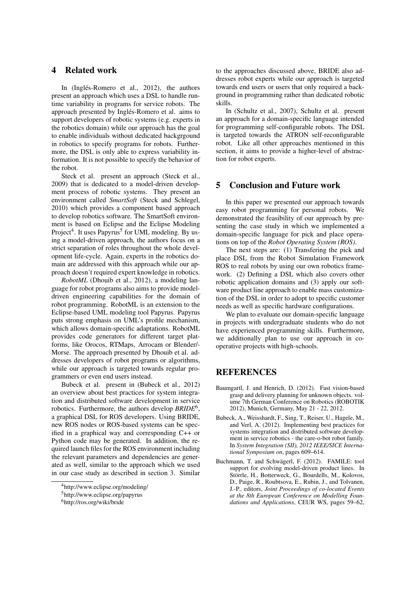## 4 Related work

In (Inglés-Romero et al., 2012), the authors present an approach which uses a DSL to handle runtime variability in programs for service robots. The approach presented by Inglés-Romero et al. aims to support developers of robotic systems (e.g. experts in the robotics domain) while our approach has the goal to enable individuals without dedicated backgrgound in robotics to specify programs for robots. Furthermore, the DSL is only able to express variability information. It is not possible to specify the behavior of the robot.

Steck et al. present an approach (Steck et al., 2009) that is dedicated to a model-driven development process of robotic systems. They present an environment called *SmartSoft* (Steck and Schlegel, 2010) which provides a component based approach to develop robotics software. The SmartSoft environment is based on Eclipse and the Eclipse Modeling Project<sup>4</sup>. It uses Papyrus<sup>5</sup> for UML modeling. By using a model-driven approach, the authors focus on a strict separation of roles throughout the whole development life-cycle. Again, experts in the robotics domain are addressed with this approach while our approach doesn't required expert knowledge in robotics.

*RobotML* (Dhouib et al., 2012), a modeling language for robot programs also aims to provide modeldriven engineering capabilities for the domain of robot programming. RobotML is an extension to the Eclipse-based UML modeling tool Papyrus. Papyrus puts strong emphasis on UML's profile mechanism, which allows domain-specific adaptations. RobotML provides code generators for different target platforms, like Orocos, RTMaps, Arrocam or Blender/- Morse. The approach presented by Dhouib et al. addresses developers of robot programs or algorithms, while our approach is targeted towards regular programmers or even end users instead.

Bubeck et al. present in (Bubeck et al., 2012) an overview about best practices for system integration and distributed software development in service robotics. Furthermore, the authors develop *BRIDE*6, a graphical DSL for ROS developers. Using BRIDE, new ROS nodes or ROS-based systems can be specified in a graphical way and corresponding C++ or Python code may be generated. In addition, the required launch files for the ROS environment including the relevant parameters and dependencies are generated as well, similar to the approach which we used in our case study as described in section 3. Similar to the approaches discussed above, BRIDE also addresses robot experts while our approach is targeted towards end users or users that only required a background in programming rather than dedicated robotic skills.

In (Schultz et al., 2007), Schultz et al. present an approach for a domain-specific language intended for programming self-configurable robots. The DSL is targeted towards the ATRON self-reconfigurable robot. Like all other approaches mentioned in this section, it aims to provide a higher-level of abstraction for robot experts.

## 5 Conclusion and Future work

In this paper we presented our approach towards easy robot programming for personal robots. We demonstrated the feasibility of our approach by presenting the case study in which we implemented a domain-specific language for pick and place operations on top of the *Robot Operating System (ROS)*.

The next steps are: (1) Transfering the pick and place DSL from the Robot Simulation Framework ROS to real robots by using our own robotics framework. (2) Defining a DSL which also covers other robotic application domains and (3) apply our software product line approach to enable mass customization of the DSL in order to adopt to specific customer needs as well as specific hardware configurations.

We plan to evaluate our domain-specific language in projects with undergraduate students who do not have experienced programming skills. Furthermore, we additionally plan to use our approach in cooperative projects with high-schools.

## REFERENCES

- Baumgartl, J. and Henrich, D. (2012). Fast vision-based grasp and delivery planning for unknown objects. volume 7th German Conference on Robotics (ROBOTIK 2012), Munich, Germany, May 21 - 22, 2012.
- Bubeck, A., Weisshardt, F., Sing, T., Reiser, U., Hagele, M., and Verl, A. (2012). Implementing best practices for systems integration and distributed software development in service robotics - the care-o-bot robot family. In *System Integration (SII), 2012 IEEE/SICE International Symposium on*, pages 609–614.
- Buchmann, T. and Schwägerl, F. (2012). FAMILE: tool support for evolving model-driven product lines. In Störrle, H., Botterweck, G., Bourdells, M., Kolovos, D., Paige, R., Roubtsova, E., Rubin, J., and Tolvanen, J.-P., editors, *Joint Proceedings of co-located Events at the 8th European Conference on Modelling Foundations and Applications*, CEUR WS, pages 59–62,

<sup>4</sup>http://www.eclipse.org/modeling/

<sup>5</sup>http://www.eclipse.org/papyrus

<sup>6</sup>http://ros.org/wiki/bride